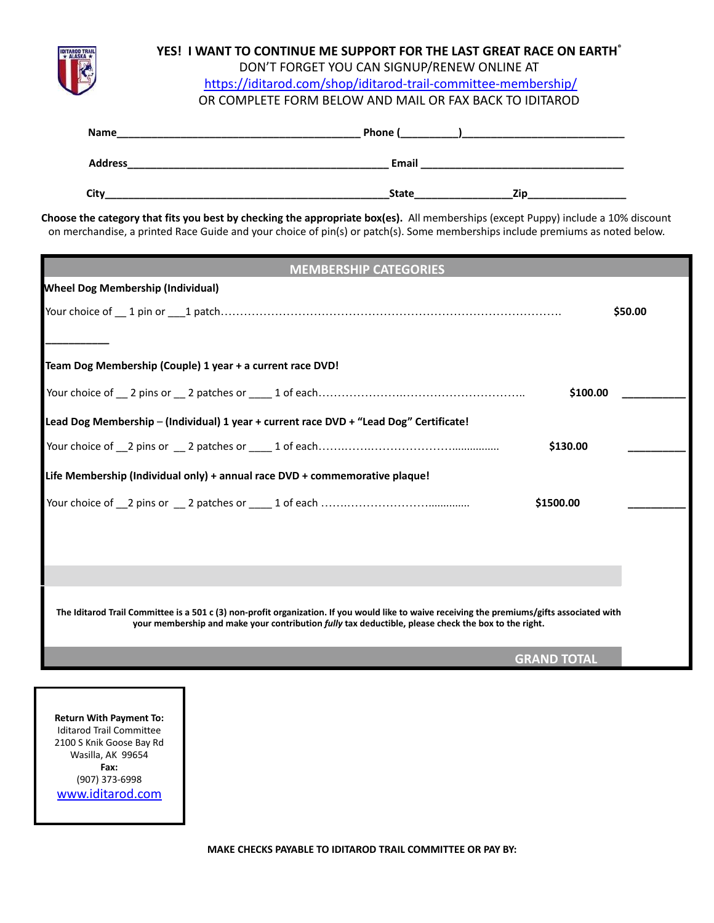

## **YES! I WANT TO CONTINUE ME SUPPORT FOR THE LAST GREAT RACE ON EARTH®** DON'T FORGET YOU CAN SIGNUP/RENEW ONLINE AT <https://iditarod.com/shop/iditarod-trail-committee-membership/> OR COMPLETE FORM BELOW AND MAIL OR FAX BACK TO IDITAROD

| Name           | Phone (             |
|----------------|---------------------|
| <b>Address</b> | Email               |
| City           | Zin<br><b>State</b> |

**Choose the category that fits you best by checking the appropriate box(es).** All memberships (except Puppy) include a 10% discount on merchandise, a printed Race Guide and your choice of pin(s) or patch(s). Some memberships include premiums as noted below.

| <b>MEMBERSHIP CATEGORIES</b>                                                           |          |  |
|----------------------------------------------------------------------------------------|----------|--|
| <b>Wheel Dog Membership (Individual)</b>                                               |          |  |
|                                                                                        | \$50.00  |  |
|                                                                                        |          |  |
| Team Dog Membership (Couple) 1 year + a current race DVD!                              |          |  |
|                                                                                        |          |  |
|                                                                                        | \$100.00 |  |
| Lead Dog Membership - (Individual) 1 year + current race DVD + "Lead Dog" Certificate! |          |  |
| \$130.00                                                                               |          |  |
| Life Membership (Individual only) + annual race DVD + commemorative plaque!            |          |  |
| \$1500.00                                                                              |          |  |
|                                                                                        |          |  |
|                                                                                        |          |  |
|                                                                                        |          |  |
|                                                                                        |          |  |

**The Iditarod Trail Committee is a 501 c (3) non-profit organization. If you would like to waive receiving the premiums/gifts associated with your membership and make your contribution** *fully* **tax deductible, please check the box to the right.**

**GRAND TOTAL**

**Return With Payment To:** Iditarod Trail Committee 2100 S Knik Goose Bay Rd Wasilla, AK 99654 **Fax:** (907) 373-6998 [www.iditarod.com](http://www.iditarod.com)

**MAKE CHECKS PAYABLE TO IDITAROD TRAIL COMMITTEE OR PAY BY:**